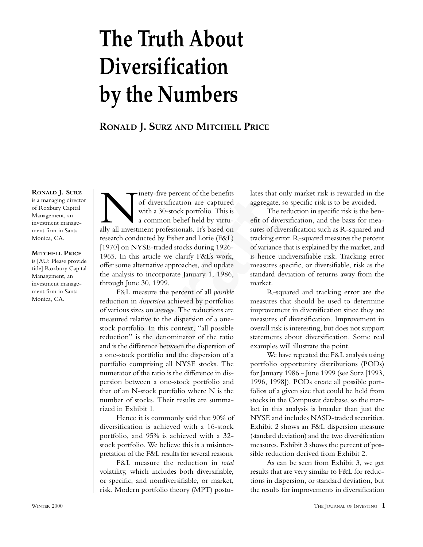# **The Truth About Diversification by the Numbers**

**RONALD J. SURZ AND MITCHELL PRICE**

**RONALD J. SURZ** is a managing director of Roxbury Capital Management, an investment management firm in Santa

**MITCHELL PRICE**

Monica, CA.

is [AU: Please provide title] Roxbury Capital Management, an investment management firm in Santa Monica, CA.

or diversification are captured aggregate, so s<br>with a 30-stock portfolio. This is The redu<br>a common belief held by virtu-<br>eft of diversif<br>the a common belief held by virtu-<br>eft of diversif<br>the a common belief held by virt Inety-five percent of the benefits<br>of diversification are captured<br>with a 30-stock portfolio. This is<br>a common belief held by virtu-<br>ally all investment professionals. It's based on of diversification are captured with a 30-stock portfolio. This is a common belief held by virturesearch conducted by Fisher and Lorie (F&L) [1970] on NYSE-traded stocks during 1926-1965. In this article we clarify F&L's work, offer some alternative approaches, and update the analysis to incorporate January 1, 1986, through June 30, 1999.

F&L measure the percent of all *possible* reduction in *dispersion* achieved by portfolios of various sizes on *average.* The reductions are measured relative to the dispersion of a onestock portfolio. In this context, "all possible reduction" is the denominator of the ratio and is the difference between the dispersion of a one-stock portfolio and the dispersion of a portfolio comprising all NYSE stocks. The numerator of the ratio is the difference in dispersion between a one-stock portfolio and that of an N-stock portfolio where N is the number of stocks. Their results are summarized in Exhibit 1.

Hence it is commonly said that 90% of diversification is achieved with a 16-stock portfolio, and 95% is achieved with a 32 stock portfolio. We believe this is a misinterpretation of the F&L results for several reasons.

F&L measure the reduction in *total* volatility, which includes both diversifiable, or specific, and nondiversifiable, or market, risk. Modern portfolio theory (MPT) postulates that only market risk is rewarded in the aggregate, so specific risk is to be avoided.

The reduction in specific risk is the benefit of diversification, and the basis for measures of diversification such as R-squared and tracking error. R-squared measures the percent of variance that is explained by the market, and is hence undiversifiable risk. Tracking error measures specific, or diversifiable, risk as the standard deviation of returns away from the market.

R-squared and tracking error are the measures that should be used to determine improvement in diversification since they are measures of diversification. Improvement in overall risk is interesting, but does not support statements about diversification. Some real examples will illustrate the point.

We have repeated the F&L analysis using portfolio opportunity distributions (PODs) for January 1986 - June 1999 (see Surz [1993, 1996, 1998]). PODs create all possible portfolios of a given size that could be held from stocks in the Compustat database, so the market in this analysis is broader than just the NYSE and includes NASD-traded securities. Exhibit 2 shows an F&L dispersion measure (standard deviation) and the two diversification measures. Exhibit 3 shows the percent of possible reduction derived from Exhibit 2.

As can be seen from Exhibit 3, we get results that are very similar to F&L for reductions in dispersion, or standard deviation, but the results for improvements in diversification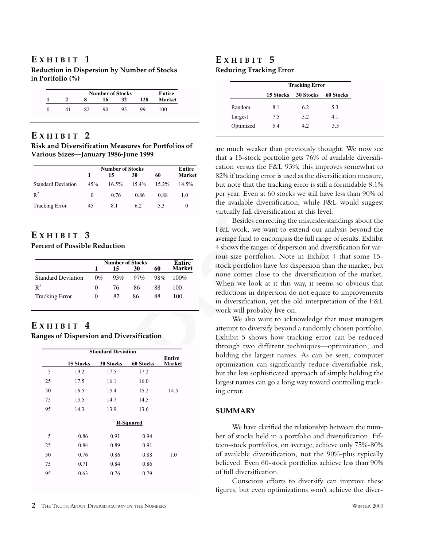## **E XHIBIT 1**

**Reduction in Dispersion by Number of Stocks in Portfolio (%)**

|  |    | <b>Number of Stocks</b> |    |     | Entire        |
|--|----|-------------------------|----|-----|---------------|
|  | 8  | 16                      | 32 | 128 | <b>Market</b> |
|  | Ջን | 90                      | 95 | 99  | 100           |

## **E XHIBIT 2**

**Risk and Diversification Measures for Portfolios of Various Sizes—January 1986-June 1999**

|                           |          | <b>Number of Stocks</b> |       |          | Entire        |
|---------------------------|----------|-------------------------|-------|----------|---------------|
|                           | 1        | 15                      | 30    | 60       | <b>Market</b> |
| <b>Standard Deviation</b> | 45%      | $16.5\%$                | 15.4% | $15.2\%$ | $14.5\%$      |
| $R^2$                     | $\Omega$ | 0.76                    | 0.86  | 0.88     | 1.0           |
| <b>Tracking Error</b>     | 45       | 8.1                     | 62    | 53       | $\theta$      |

## **E XHIBIT 3**

**Percent of Possible Reduction**

|                           |                   | <b>Number of Stocks</b> |        |     | Entire        |
|---------------------------|-------------------|-------------------------|--------|-----|---------------|
|                           |                   | 15                      | 30     | 60  | <b>Market</b> |
| <b>Standard Deviation</b> | $0\%$             | 93%                     | $97\%$ | 98% | $100\%$       |
| $\mathbb{R}^2$            | $\mathbf{\Omega}$ | 76                      | 86     | 88  | 100           |
| <b>Tracking Error</b>     | $\theta$          | 82                      | 86     | 88  | 100           |

## $E$  **XHIBIT** 4

**Ranges of Dispersion and Diversification**

|    |           | <b>Standard Deviation</b> |           |                         |
|----|-----------|---------------------------|-----------|-------------------------|
|    | 15 Stocks | <b>30 Stocks</b>          | 60 Stocks | <b>Entire</b><br>Market |
| 5  | 19.2      | 17.5                      | 17.2      |                         |
| 25 | 17.5      | 16.1                      | 16.0      |                         |
| 50 | 16.5      | 15.4                      | 15.2      | 14.5                    |
| 75 | 15.5      | 14.7                      | 14.5      |                         |
| 95 | 14.3      | 13.9                      | 13.6      |                         |
|    |           |                           | R-Squared |                         |
| 5  | 0.86      | 0.91                      | 0.94      |                         |
| 25 | 0.84      | 0.89                      | 0.91      |                         |
| 50 | 0.76      | 0.86                      | 0.88      | 1.0                     |
| 75 | 0.71      | 0.84                      | 0.86      |                         |
| 95 | 0.63      | 0.76                      | 0.79      |                         |

## **E XHIBIT 5 Reducing Tracking Error**

|           | <b>Tracking Error</b> |                  |           |
|-----------|-----------------------|------------------|-----------|
|           | 15 Stocks             | <b>30 Stocks</b> | 60 Stocks |
| Random    | 8.1                   | 6.2              | 5.3       |
| Largest   | 7.5                   | 5.2              | 4.1       |
| Optimized | 5.4                   | 42               | 3.5       |

are much weaker than previously thought. We now see that a 15-stock portfolio gets 76% of available diversification versus the F&L 93%; this improves somewhat to 82% if tracking error is used as the diversification measure, but note that the tracking error is still a formidable 8.1% per year. Even at 60 stocks we still have less than 90% of the available diversification, while F&L would suggest virtually full diversification at this level.

6.2 5.3 0 the available diversification<br>
6.2 5.3 0 the available diversification<br>
1.0 the available diversification<br>
External properties of dispersions of the available diversification<br>
External properties of dispersions o Besides correcting the misunderstandings about the F&L work, we want to extend our analysis beyond the average fund to encompass the full range of results. Exhibit 4 shows the ranges of dispersion and diversification for various size portfolios. Note in Exhibit 4 that some 15 stock portfolios have *less* dispersion than the market, but none comes close to the diversification of the market. When we look at it this way, it seems so obvious that reductions in dispersion do not equate to improvements in diversification, yet the old interpretation of the F&L work will probably live on.

We also want to acknowledge that most managers attempt to diversify beyond a randomly chosen portfolio. Exhibit 5 shows how tracking error can be reduced through two different techniques—optimization, and holding the largest names. As can be seen, computer optimization can significantly reduce diversifiable risk, but the less sophisticated approach of simply holding the largest names can go a long way toward controlling tracking error.

### **SUMMARY**

We have clarified the relationship between the number of stocks held in a portfolio and diversification. Fifteen-stock portfolios, on average, achieve only 75%-80% of available diversification, not the 90%-plus typically believed. Even 60-stock portfolios achieve less than 90% of full diversification.

Conscious efforts to diversify can improve these figures, but even optimizations won't achieve the diver